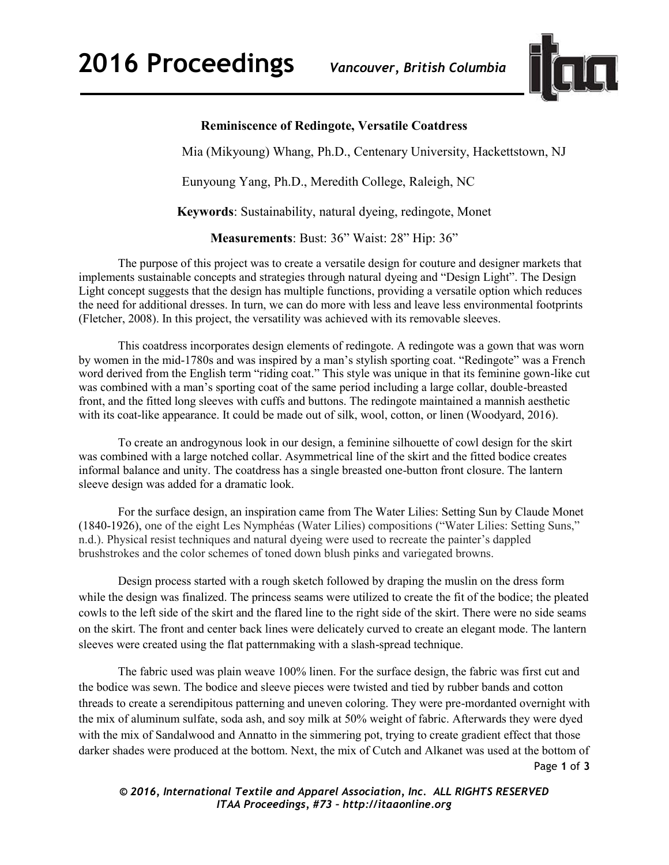

## **Reminiscence of Redingote, Versatile Coatdress**

Mia (Mikyoung) Whang, Ph.D., Centenary University, Hackettstown, NJ

Eunyoung Yang, Ph.D., Meredith College, Raleigh, NC

**Keywords**: Sustainability, natural dyeing, redingote, Monet

**Measurements**: Bust: 36" Waist: 28" Hip: 36"

The purpose of this project was to create a versatile design for couture and designer markets that implements sustainable concepts and strategies through natural dyeing and "Design Light". The Design Light concept suggests that the design has multiple functions, providing a versatile option which reduces the need for additional dresses. In turn, we can do more with less and leave less environmental footprints (Fletcher, 2008). In this project, the versatility was achieved with its removable sleeves.

This coatdress incorporates design elements of redingote. A redingote was a gown that was worn by women in the mid-1780s and was inspired by a man's stylish sporting coat. "Redingote" was a French word derived from the English term "riding coat." This style was unique in that its feminine gown-like cut was combined with a man's sporting coat of the same period including a large collar, double-breasted front, and the fitted long sleeves with cuffs and buttons. The redingote maintained a mannish aesthetic with its coat-like appearance. It could be made out of silk, wool, cotton, or linen (Woodyard, 2016).

To create an androgynous look in our design, a feminine silhouette of cowl design for the skirt was combined with a large notched collar. Asymmetrical line of the skirt and the fitted bodice creates informal balance and unity. The coatdress has a single breasted one-button front closure. The lantern sleeve design was added for a dramatic look.

 For the surface design, an inspiration came from The Water Lilies: Setting Sun by Claude Monet (1840-1926), one of the eight Les Nymphéas (Water Lilies) compositions ("Water Lilies: Setting Suns," n.d.). Physical resist techniques and natural dyeing were used to recreate the painter's dappled brushstrokes and the color schemes of toned down blush pinks and variegated browns.

Design process started with a rough sketch followed by draping the muslin on the dress form while the design was finalized. The princess seams were utilized to create the fit of the bodice; the pleated cowls to the left side of the skirt and the flared line to the right side of the skirt. There were no side seams on the skirt. The front and center back lines were delicately curved to create an elegant mode. The lantern sleeves were created using the flat patternmaking with a slash-spread technique.

Page **1** of **3**  The fabric used was plain weave 100% linen. For the surface design, the fabric was first cut and the bodice was sewn. The bodice and sleeve pieces were twisted and tied by rubber bands and cotton threads to create a serendipitous patterning and uneven coloring. They were pre-mordanted overnight with the mix of aluminum sulfate, soda ash, and soy milk at 50% weight of fabric. Afterwards they were dyed with the mix of Sandalwood and Annatto in the simmering pot, trying to create gradient effect that those darker shades were produced at the bottom. Next, the mix of Cutch and Alkanet was used at the bottom of

*© 2016, International Textile and Apparel Association, Inc. ALL RIGHTS RESERVED ITAA Proceedings, #73 – http://itaaonline.org*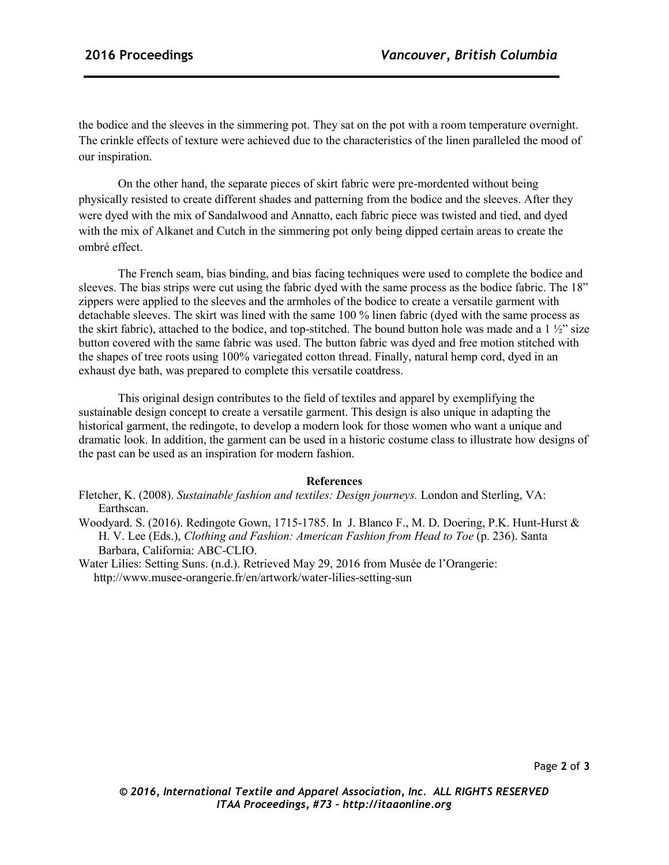the bodice and the sleeves in the simmering pot. They sat on the pot with a room temperature overnight. The crinkle effects of texture were achieved due to the characteristics of the linen paralleled the mood of our inspiration.

On the other hand, the separate pieces of skirt fabric were pre-mordented without being physically resisted to create different shades and patterning from the bodice and the sleeves. After they were dyed with the mix of Sandalwood and Annatto, each fabric piece was twisted and tied, and dyed with the mix of Alkanet and Cutch in the simmering pot only being dipped certain areas to create the ombré effect.

The French seam, bias binding, and bias facing techniques were used to complete the bodice and sleeves. The bias strips were cut using the fabric dyed with the same process as the bodice fabric. The 18" zippers were applied to the sleeves and the armholes of the bodice to create a versatile garment with detachable sleeves. The skirt was lined with the same 100 % linen fabric (dyed with the same process as the skirt fabric), attached to the bodice, and top-stitched. The bound button hole was made and a  $1\frac{1}{2}$ " size button covered with the same fabric was used. The button fabric was dyed and free motion stitched with the shapes of tree roots using 100% variegated cotton thread. Finally, natural hemp cord, dyed in an exhaust dye bath, was prepared to complete this versatile coatdress.

This original design contributes to the field of textiles and apparel by exemplifying the sustainable design concept to create a versatile garment. This design is also unique in adapting the historical garment, the redingote, to develop a modern look for those women who want a unique and dramatic look. In addition, the garment can be used in a historic costume class to illustrate how designs of the past can be used as an inspiration for modern fashion.

## **References**

- Fletcher, K. (2008). *Sustainable fashion and textiles: Design journeys.* London and Sterling, VA: Earthscan.
- Woodyard. S. (2016). Redingote Gown, 1715-1785. In J. Blanco F., M. D. Doering, P.K. Hunt-Hurst & H. V. Lee (Eds.), *Clothing and Fashion: American Fashion from Head to Toe* (p. 236). Santa Barbara, California: ABC-CLIO.
- Water Lilies: Setting Suns. (n.d.). Retrieved May 29, 2016 from Musée de l'Orangerie: http://www.musee-orangerie.fr/en/artwork/water-lilies-setting-sun